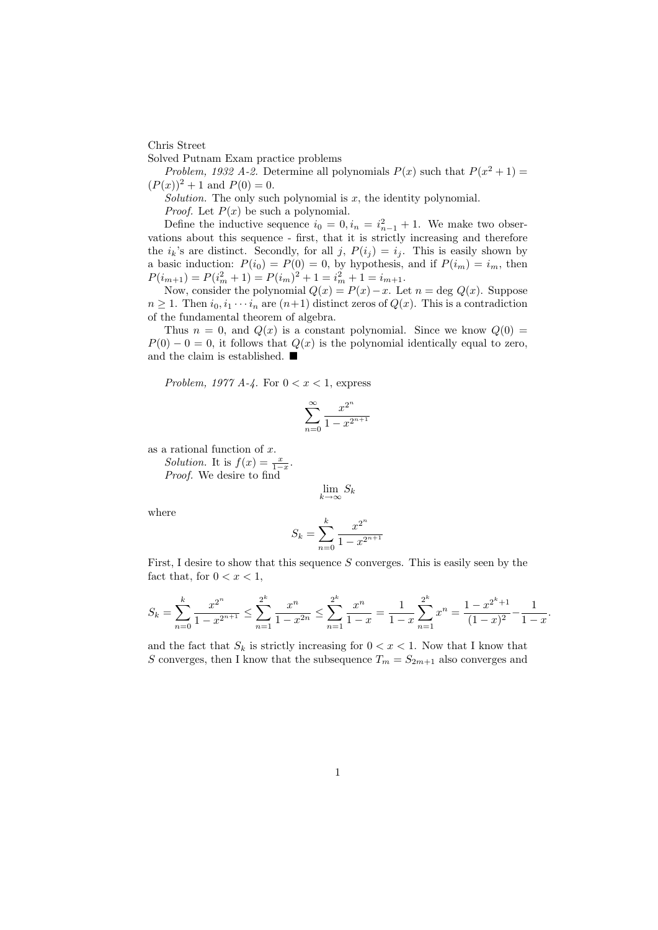Chris Street

Solved Putnam Exam practice problems

Problem, 1932 A-2. Determine all polynomials  $P(x)$  such that  $P(x^2 + 1) =$  $(P(x))^{2} + 1$  and  $P(0) = 0$ .

Solution. The only such polynomial is  $x$ , the identity polynomial.

*Proof.* Let  $P(x)$  be such a polynomial.

Define the inductive sequence  $i_0 = 0, i_n = i_{n-1}^2 + 1$ . We make two observations about this sequence - first, that it is strictly increasing and therefore the  $i_k$ 's are distinct. Secondly, for all j,  $P(i_j) = i_j$ . This is easily shown by a basic induction:  $P(i_0) = P(0) = 0$ , by hypothesis, and if  $P(i_m) = i_m$ , then  $P(i_{m+1}) = P(i_m^2 + 1) = P(i_m)^2 + 1 = i_m^2 + 1 = i_{m+1}.$ 

Now, consider the polynomial  $Q(x) = P(x) - x$ . Let  $n = \deg Q(x)$ . Suppose  $n \geq 1$ . Then  $i_0, i_1 \cdots i_n$  are  $(n+1)$  distinct zeros of  $Q(x)$ . This is a contradiction of the fundamental theorem of algebra.

Thus  $n = 0$ , and  $Q(x)$  is a constant polynomial. Since we know  $Q(0)$  $P(0) - 0 = 0$ , it follows that  $Q(x)$  is the polynomial identically equal to zero, and the claim is established.  $\blacksquare$ 

Problem, 1977 A-4. For  $0 < x < 1$ , express

$$
\sum_{n=0}^{\infty} \frac{x^{2^n}}{1 - x^{2^{n+1}}}
$$

as a rational function of x.

Solution. It is  $f(x) = \frac{x}{1-x}$ .

Proof. We desire to find

$$
\lim_{k \to \infty} S_k
$$

where

$$
S_k = \sum_{n=0}^{k} \frac{x^{2^n}}{1 - x^{2^{n+1}}}
$$

First, I desire to show that this sequence  $S$  converges. This is easily seen by the fact that, for  $0 < x < 1$ ,

$$
S_k = \sum_{n=0}^k \frac{x^{2^n}}{1 - x^{2^{n+1}}} \le \sum_{n=1}^{2^k} \frac{x^n}{1 - x^{2n}} \le \sum_{n=1}^{2^k} \frac{x^n}{1 - x} = \frac{1}{1 - x} \sum_{n=1}^{2^k} x^n = \frac{1 - x^{2^k + 1}}{(1 - x)^2} - \frac{1}{1 - x}.
$$

and the fact that  $S_k$  is strictly increasing for  $0 < x < 1$ . Now that I know that S converges, then I know that the subsequence  $T_m = S_{2m+1}$  also converges and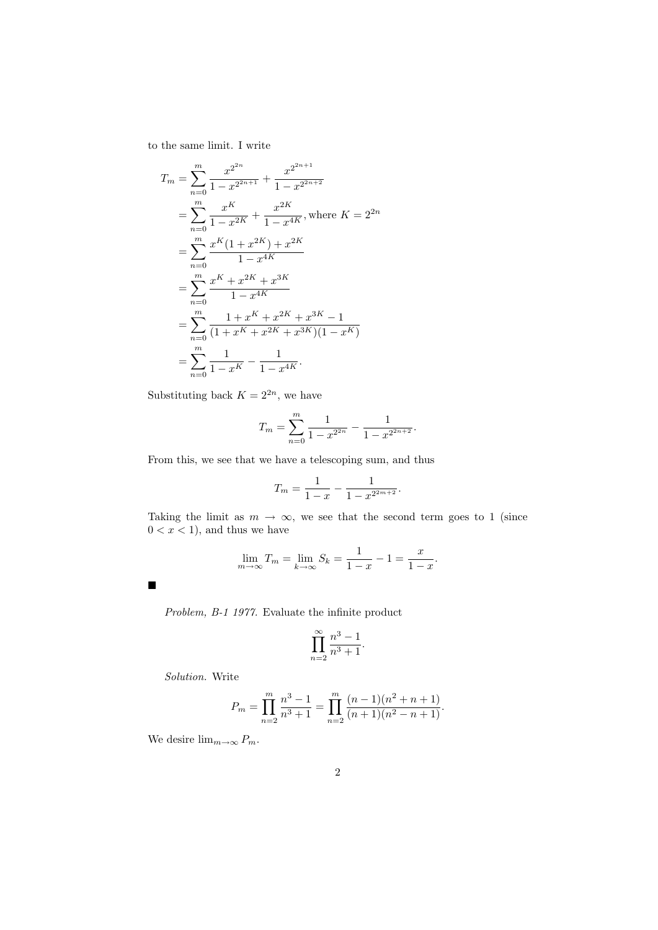to the same limit. I write

$$
T_m = \sum_{n=0}^{m} \frac{x^{2^{2n}}}{1 - x^{2^{2n+1}}} + \frac{x^{2^{2n+1}}}{1 - x^{2^{2n+2}}}
$$
  
= 
$$
\sum_{n=0}^{m} \frac{x^{K}}{1 - x^{2K}} + \frac{x^{2K}}{1 - x^{4K}}
$$
, where  $K = 2^{2n}$   
= 
$$
\sum_{n=0}^{m} \frac{x^{K}(1 + x^{2K}) + x^{2K}}{1 - x^{4K}}
$$
  
= 
$$
\sum_{n=0}^{m} \frac{x^{K} + x^{2K} + x^{3K}}{1 - x^{4K}}
$$
  
= 
$$
\sum_{n=0}^{m} \frac{1 + x^{K} + x^{2K} + x^{3K} - 1}{(1 + x^{K} + x^{2K} + x^{3K})(1 - x^{K})}
$$
  
= 
$$
\sum_{n=0}^{m} \frac{1}{1 - x^{K}} - \frac{1}{1 - x^{4K}}.
$$

Substituting back  $K = 2^{2n}$ , we have

$$
T_m = \sum_{n=0}^{m} \frac{1}{1 - x^{2^{2n}}} - \frac{1}{1 - x^{2^{2n+2}}}.
$$

From this, we see that we have a telescoping sum, and thus

$$
T_m = \frac{1}{1-x} - \frac{1}{1-x^{2^{2m+2}}}.
$$

Taking the limit as  $m \to \infty$ , we see that the second term goes to 1 (since  $0 < x < 1$ , and thus we have

$$
\lim_{m \to \infty} T_m = \lim_{k \to \infty} S_k = \frac{1}{1 - x} - 1 = \frac{x}{1 - x}.
$$

 $\blacksquare$ 

Problem, B-1 1977. Evaluate the infinite product

$$
\prod_{n=2}^{\infty} \frac{n^3-1}{n^3+1}.
$$

Solution. Write

$$
P_m = \prod_{n=2}^m \frac{n^3 - 1}{n^3 + 1} = \prod_{n=2}^m \frac{(n-1)(n^2 + n + 1)}{(n+1)(n^2 - n + 1)}.
$$

We desire  $\lim_{m\to\infty} P_m$ .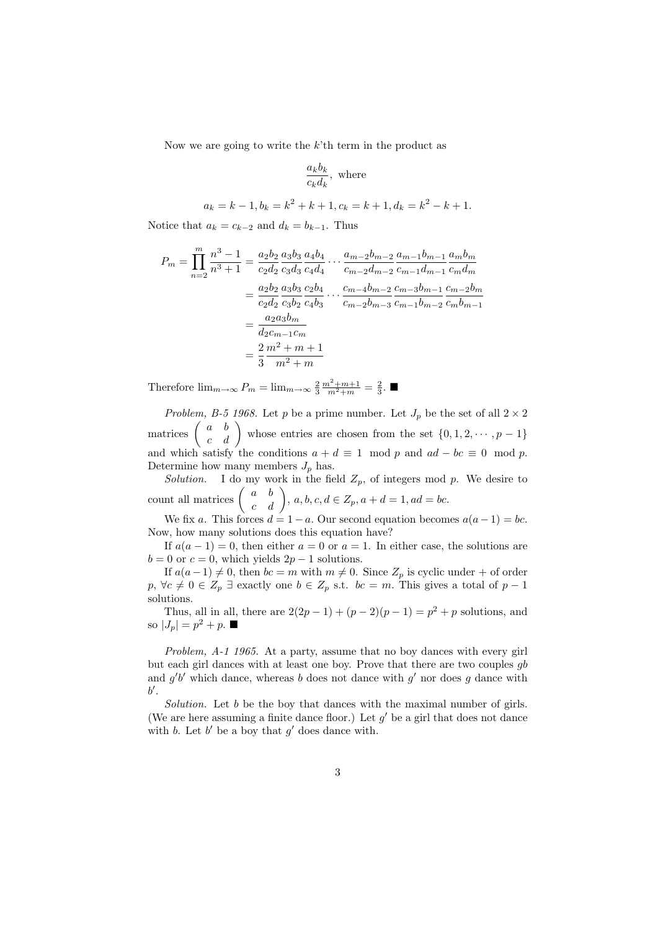Now we are going to write the  $k<sup>2</sup>$ th term in the product as

$$
\frac{a_k b_k}{c_k d_k}, \text{ where}
$$

$$
a_k = k - 1, b_k = k^2 + k + 1, c_k = k + 1, d_k = k^2 - k + 1.
$$

Notice that  $a_k = c_{k-2}$  and  $d_k = b_{k-1}$ . Thus

$$
P_m = \prod_{n=2}^{m} \frac{n^3 - 1}{n^3 + 1} = \frac{a_2 b_2}{c_2 d_2} \frac{a_3 b_3}{c_3 d_3} \frac{a_4 b_4}{c_4 d_4} \cdots \frac{a_{m-2} b_{m-2}}{c_{m-2} d_{m-2}} \frac{a_{m-1} b_{m-1}}{c_{m-1} d_{m-1}} \frac{a_m b_m}{c_m d_m}
$$
  

$$
= \frac{a_2 b_2}{c_2 d_2} \frac{a_3 b_3}{c_3 b_2} \frac{c_2 b_4}{c_4 b_3} \cdots \frac{c_{m-4} b_{m-2}}{c_{m-2} b_{m-3}} \frac{c_{m-3} b_{m-1}}{c_{m-1} b_{m-2}} \frac{c_{m-2} b_m}{c_m b_{m-1}}
$$
  

$$
= \frac{a_2 a_3 b_m}{d_2 c_{m-1} c_m}
$$
  

$$
= \frac{2}{3} \frac{m^2 + m + 1}{m^2 + m}
$$

Therefore  $\lim_{m\to\infty} P_m = \lim_{m\to\infty} \frac{2}{3} \frac{m^2 + m + 1}{m^2 + m} = \frac{2}{3}$ .

*Problem, B-5 1968.* Let  $p$  be a prime number. Let  $J_p$  be the set of all  $2 \times 2$ matrices  $\begin{pmatrix} a & b \\ c & d \end{pmatrix}$  whose entries are chosen from the set  $\{0, 1, 2, \dots, p-1\}$ and which satisfy the conditions  $a + d \equiv 1 \mod p$  and  $ad - bc \equiv 0 \mod p$ . Determine how many members  $J_p$  has.

Solution. I do my work in the field  $Z_p$ , of integers mod p. We desire to count all matrices  $\begin{pmatrix} a & b \\ c & d \end{pmatrix}$ ,  $a, b, c, d \in \mathbb{Z}_p$ ,  $a + d = 1$ ,  $ad = bc$ .

We fix a. This forces  $d = 1 - a$ . Our second equation becomes  $a(a-1) = bc$ . Now, how many solutions does this equation have?

If  $a(a-1) = 0$ , then either  $a = 0$  or  $a = 1$ . In either case, the solutions are  $b = 0$  or  $c = 0$ , which yields  $2p - 1$  solutions.

If  $a(a-1) \neq 0$ , then  $bc = m$  with  $m \neq 0$ . Since  $Z_p$  is cyclic under + of order  $p, \forall c \neq 0 \in Z_p \exists$  exactly one  $b \in Z_p$  s.t.  $bc = m$ . This gives a total of  $p - 1$ solutions.

Thus, all in all, there are  $2(2p - 1) + (p - 2)(p - 1) = p^2 + p$  solutions, and so  $|J_p| = p^2 + p$ .

Problem, A-1 1965. At a party, assume that no boy dances with every girl but each girl dances with at least one boy. Prove that there are two couples gb and  $g'b'$  which dance, whereas b does not dance with  $g'$  nor does g dance with  $b^{\prime}$ .

Solution. Let b be the boy that dances with the maximal number of girls. (We are here assuming a finite dance floor.) Let  $g'$  be a girl that does not dance with b. Let  $b'$  be a boy that  $g'$  does dance with.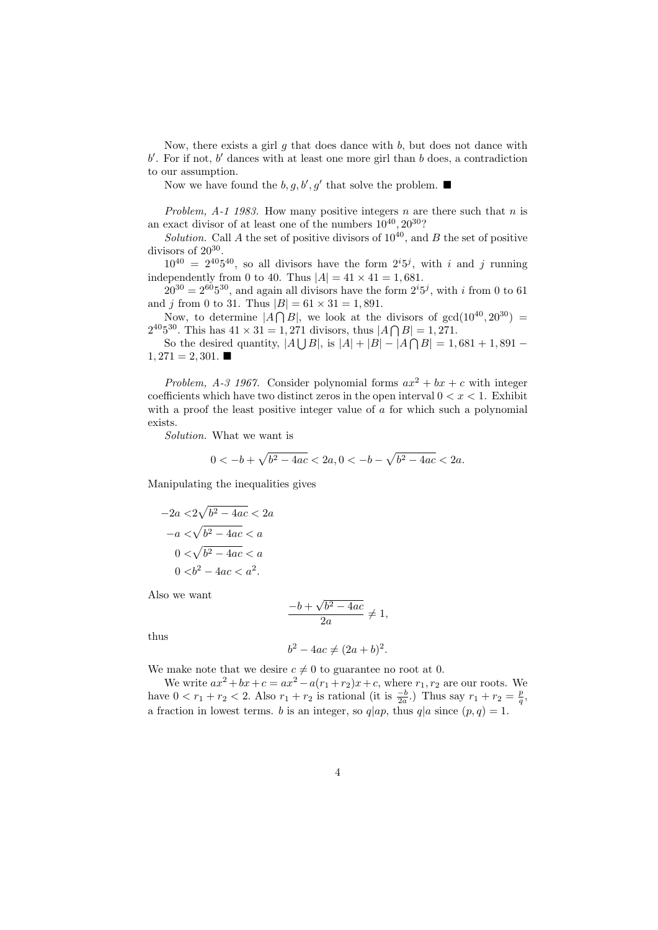Now, there exists a girl q that does dance with  $b$ , but does not dance with  $b'$ . For if not,  $b'$  dances with at least one more girl than  $b$  does, a contradiction to our assumption.

Now we have found the  $b, g, b', g'$  that solve the problem.

Problem,  $A-1$  1983. How many positive integers n are there such that n is an exact divisor of at least one of the numbers  $10^{40}$ ,  $20^{30}$ ?

Solution. Call A the set of positive divisors of  $10^{40}$ , and B the set of positive divisors of  $20^{30}$ .

 $10^{40} = 2^{40}5^{40}$ , so all divisors have the form  $2^{i}5^{j}$ , with i and j running independently from 0 to 40. Thus  $|A| = 41 \times 41 = 1,681$ .

 $20^{30} = 2^{60}5^{30}$ , and again all divisors have the form  $2^{i}5^{j}$ , with i from 0 to 61 and *i* from 0 to 31. Thus  $|B| = 61 \times 31 = 1,891$ .

Now, to determine  $|A \cap B|$ , we look at the divisors of  $gcd(10^{40}, 20^{30})$  =  $2^{40}5^{30}$ . This has  $41 \times 31 = 1,271$  divisors, thus  $|A \bigcap B| = 1,271$ .

So the desired quantity,  $|A \cup B|$ , is  $|A| + |B| - |A \cap B| = 1,681 + 1,891 1,271 = 2,301.$ 

Problem, A-3 1967. Consider polynomial forms  $ax^2 + bx + c$  with integer coefficients which have two distinct zeros in the open interval  $0 < x < 1$ . Exhibit with a proof the least positive integer value of a for which such a polynomial exists.

Solution. What we want is

$$
0 < -b + \sqrt{b^2 - 4ac} < 2a, 0 < -b - \sqrt{b^2 - 4ac} < 2a.
$$

Manipulating the inequalities gives

$$
-2a < 2\sqrt{b^2 - 4ac} < 2a
$$

$$
-a < \sqrt{b^2 - 4ac} < a
$$

$$
0 < \sqrt{b^2 - 4ac} < a
$$

$$
0 < b^2 - 4ac < a^2.
$$

Also we want

$$
\frac{-b + \sqrt{b^2 - 4ac}}{2a} \neq 1,
$$

thus

$$
b^2 - 4ac \neq (2a+b)^2.
$$

We make note that we desire  $c \neq 0$  to guarantee no root at 0.

We write  $ax^2+bx+c = ax^2-a(r_1+r_2)x+c$ , where  $r_1, r_2$  are our roots. We have  $0 < r_1 + r_2 < 2$ . Also  $r_1 + r_2$  is rational (it is  $\frac{-b}{2a}$ .) Thus say  $r_1 + r_2 = \frac{p}{q}$ , a fraction in lowest terms. b is an integer, so  $q|ap$ , thus  $q|a$  since  $(p, q) = 1$ .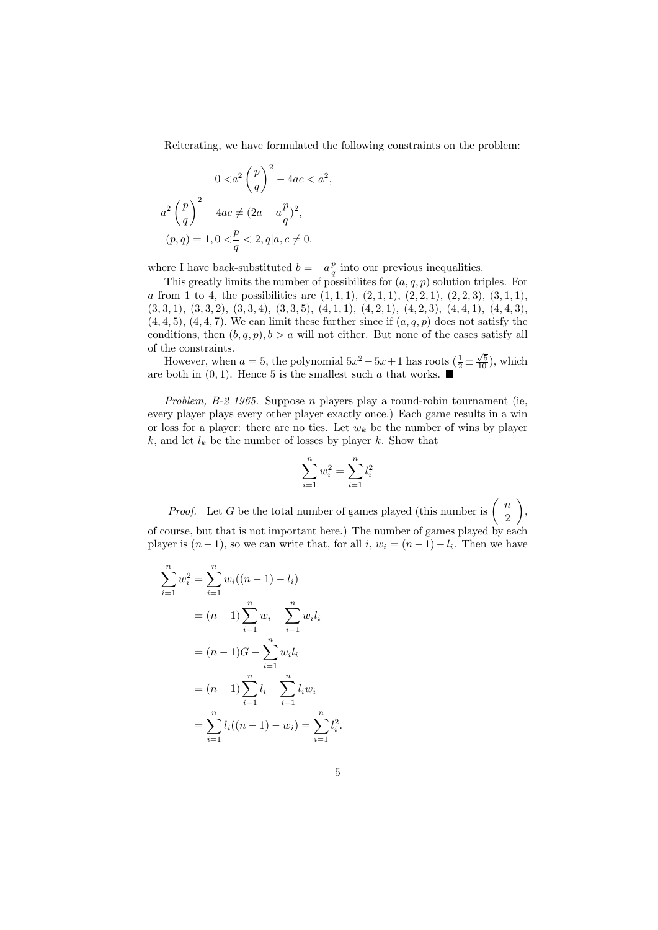Reiterating, we have formulated the following constraints on the problem:

,

$$
0 < a^2 \left(\frac{p}{q}\right)^2 - 4ac < a^2
$$
\n
$$
a^2 \left(\frac{p}{q}\right)^2 - 4ac \neq (2a - a\frac{p}{q})^2,
$$
\n
$$
(p, q) = 1, 0 < \frac{p}{q} < 2, q | a, c \neq 0.
$$

where I have back-substituted  $b = -a\frac{p}{q}$  into our previous inequalities.

This greatly limits the number of possibilites for  $(a, q, p)$  solution triples. For a from 1 to 4, the possibilities are  $(1, 1, 1), (2, 1, 1), (2, 2, 1), (2, 2, 3), (3, 1, 1),$  $(3,3,1), (3,3,2), (3,3,4), (3,3,5), (4,1,1), (4,2,1), (4,2,3), (4,4,1), (4,4,3),$  $(4, 4, 5), (4, 4, 7)$ . We can limit these further since if  $(a, q, p)$  does not satisfy the conditions, then  $(b, q, p), b > a$  will not either. But none of the cases satisfy all of the constraints.

However, when  $a = 5$ , the polynomial  $5x^2 - 5x + 1$  has roots  $(\frac{1}{2} \pm \frac{\sqrt{5}}{10})$ , which are both in  $(0, 1)$ . Hence 5 is the smallest such a that works.  $\blacksquare$ 

Problem, B-2 1965. Suppose  $n$  players play a round-robin tournament (ie, every player plays every other player exactly once.) Each game results in a win or loss for a player: there are no ties. Let  $w_k$  be the number of wins by player k, and let  $l_k$  be the number of losses by player k. Show that

$$
\sum_{i=1}^{n} w_i^2 = \sum_{i=1}^{n} l_i^2
$$

*Proof.* Let G be the total number of games played (this number is  $\begin{pmatrix} n \\ 2 \end{pmatrix}$ 2  $\bigg)$ , of course, but that is not important here.) The number of games played by each player is  $(n-1)$ , so we can write that, for all  $i, w_i = (n-1) - l_i$ . Then we have

$$
\sum_{i=1}^{n} w_i^2 = \sum_{i=1}^{n} w_i ((n - 1) - l_i)
$$
  
=  $(n - 1) \sum_{i=1}^{n} w_i - \sum_{i=1}^{n} w_i l_i$   
=  $(n - 1)G - \sum_{i=1}^{n} w_i l_i$   
=  $(n - 1) \sum_{i=1}^{n} l_i - \sum_{i=1}^{n} l_i w_i$   
=  $\sum_{i=1}^{n} l_i ((n - 1) - w_i) = \sum_{i=1}^{n} l_i^2$ .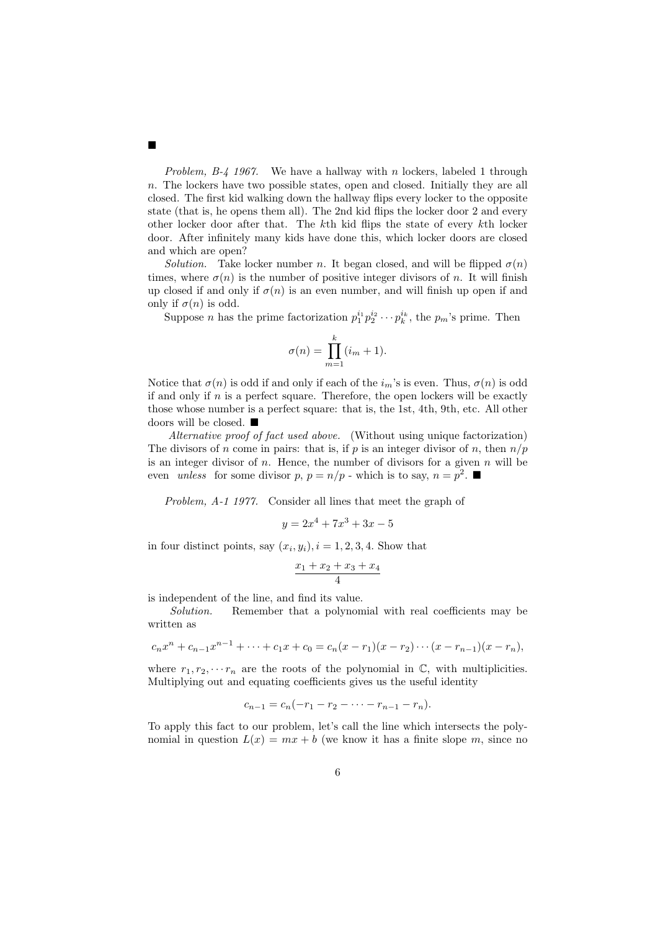*Problem, B-4 1967.* We have a hallway with n lockers, labeled 1 through n. The lockers have two possible states, open and closed. Initially they are all closed. The first kid walking down the hallway flips every locker to the opposite state (that is, he opens them all). The 2nd kid flips the locker door 2 and every other locker door after that. The kth kid flips the state of every kth locker door. After infinitely many kids have done this, which locker doors are closed and which are open?

Solution. Take locker number n. It began closed, and will be flipped  $\sigma(n)$ times, where  $\sigma(n)$  is the number of positive integer divisors of n. It will finish up closed if and only if  $\sigma(n)$  is an even number, and will finish up open if and only if  $\sigma(n)$  is odd.

Suppose *n* has the prime factorization  $p_1^{i_1} p_2^{i_2} \cdots p_k^{i_k}$ , the  $p_m$ 's prime. Then

$$
\sigma(n) = \prod_{m=1}^{k} (i_m + 1).
$$

Notice that  $\sigma(n)$  is odd if and only if each of the  $i_m$ 's is even. Thus,  $\sigma(n)$  is odd if and only if  $n$  is a perfect square. Therefore, the open lockers will be exactly those whose number is a perfect square: that is, the 1st, 4th, 9th, etc. All other doors will be closed.  $\blacksquare$ 

Alternative proof of fact used above. (Without using unique factorization) The divisors of n come in pairs: that is, if p is an integer divisor of n, then  $n/p$ is an integer divisor of  $n$ . Hence, the number of divisors for a given  $n$  will be even unless for some divisor  $p, p = n/p$  - which is to say,  $n = p^2$ .

Problem, A-1 1977. Consider all lines that meet the graph of

$$
y = 2x^4 + 7x^3 + 3x - 5
$$

in four distinct points, say  $(x_i, y_i)$ ,  $i = 1, 2, 3, 4$ . Show that

$$
\frac{x_1 + x_2 + x_3 + x_4}{4}
$$

is independent of the line, and find its value.

Solution. Remember that a polynomial with real coefficients may be written as

$$
c_nx^n + c_{n-1}x^{n-1} + \cdots + c_1x + c_0 = c_n(x - r_1)(x - r_2)\cdots(x - r_{n-1})(x - r_n),
$$

where  $r_1, r_2, \cdots r_n$  are the roots of the polynomial in  $\mathbb{C}$ , with multiplicities. Multiplying out and equating coefficients gives us the useful identity

 $c_{n-1} = c_n(-r_1 - r_2 - \cdots - r_{n-1} - r_n).$ 

To apply this fact to our problem, let's call the line which intersects the polynomial in question  $L(x) = mx + b$  (we know it has a finite slope m, since no

 $\blacksquare$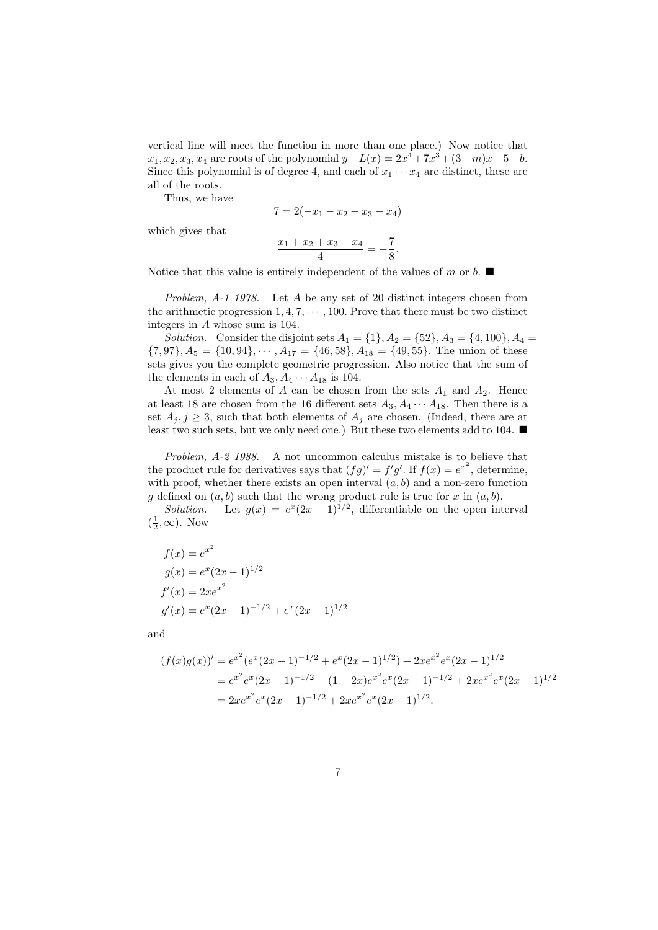vertical line will meet the function in more than one place.) Now notice that  $x_1, x_2, x_3, x_4$  are roots of the polynomial  $y - L(x) = 2x^4 + 7x^3 + (3 - m)x - 5 - b$ . Since this polynomial is of degree 4, and each of  $x_1 \cdots x_4$  are distinct, these are all of the roots.

Thus, we have

$$
7 = 2(-x_1 - x_2 - x_3 - x_4)
$$

which gives that

$$
\frac{x_1 + x_2 + x_3 + x_4}{4} = -\frac{7}{8}.
$$

Notice that this value is entirely independent of the values of m or b.  $\blacksquare$ 

Problem, A-1 1978. Let A be any set of 20 distinct integers chosen from the arithmetic progression  $1, 4, 7, \cdots, 100$ . Prove that there must be two distinct integers in A whose sum is 104.

Solution. Consider the disjoint sets  $A_1 = \{1\}, A_2 = \{52\}, A_3 = \{4, 100\}, A_4 =$  $\{7,97\}, A_5 = \{10,94\}, \cdots, A_{17} = \{46,58\}, A_{18} = \{49,55\}.$  The union of these sets gives you the complete geometric progression. Also notice that the sum of the elements in each of  $A_3, A_4 \cdots A_{18}$  is 104.

At most 2 elements of A can be chosen from the sets  $A_1$  and  $A_2$ . Hence at least 18 are chosen from the 16 different sets  $A_3, A_4 \cdots A_{18}$ . Then there is a set  $A_i, j \geq 3$ , such that both elements of  $A_j$  are chosen. (Indeed, there are at least two such sets, but we only need one.) But these two elements add to 104.  $\blacksquare$ 

Problem, A-2 1988. A not uncommon calculus mistake is to believe that the product rule for derivatives says that  $(fg)' = f'g'$ . If  $f(x) = e^{x^2}$ , determine, with proof, whether there exists an open interval  $(a, b)$  and a non-zero function g defined on  $(a, b)$  such that the wrong product rule is true for x in  $(a, b)$ .

Solution. Let  $g(x) = e^x(2x-1)^{1/2}$ , differentiable on the open interval  $(\frac{1}{2}, \infty)$ . Now

$$
f(x) = e^{x^2}
$$
  
\n
$$
g(x) = e^x (2x - 1)^{1/2}
$$
  
\n
$$
f'(x) = 2xe^{x^2}
$$
  
\n
$$
g'(x) = e^x (2x - 1)^{-1/2} + e^x (2x - 1)^{1/2}
$$

and

$$
(f(x)g(x))' = e^{x^2} (e^x (2x - 1)^{-1/2} + e^x (2x - 1)^{1/2}) + 2xe^{x^2} e^x (2x - 1)^{1/2}
$$
  
=  $e^{x^2} e^x (2x - 1)^{-1/2} - (1 - 2x) e^{x^2} e^x (2x - 1)^{-1/2} + 2xe^{x^2} e^x (2x - 1)^{1/2}$   
=  $2xe^{x^2} e^x (2x - 1)^{-1/2} + 2xe^{x^2} e^x (2x - 1)^{1/2}.$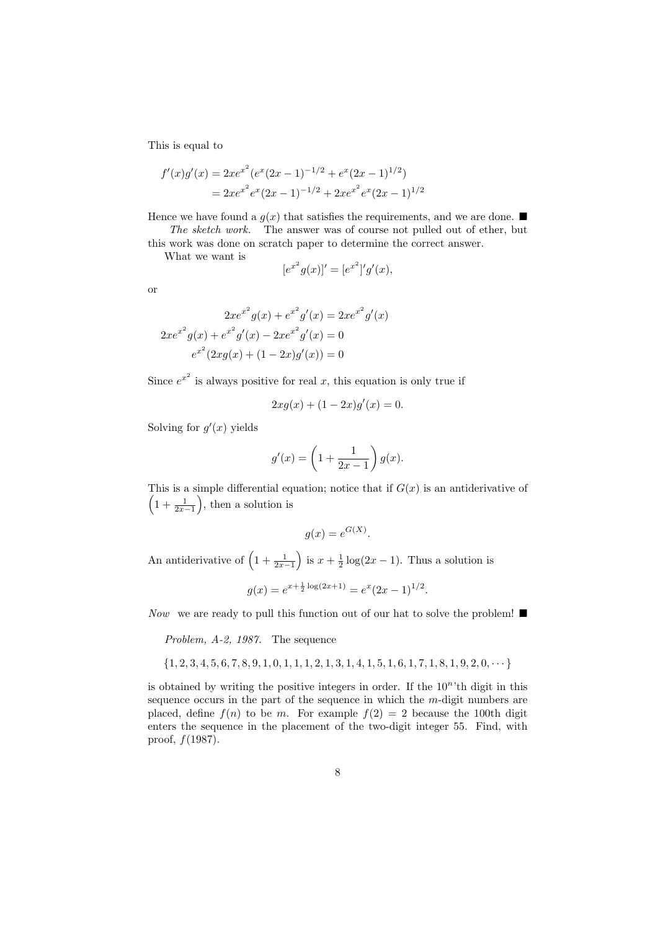This is equal to

$$
f'(x)g'(x) = 2xe^{x^2}(e^x(2x-1)^{-1/2} + e^x(2x-1)^{1/2})
$$
  
=  $2xe^{x^2}e^x(2x-1)^{-1/2} + 2xe^{x^2}e^x(2x-1)^{1/2}$ 

Hence we have found a  $g(x)$  that satisfies the requirements, and we are done. The sketch work. The answer was of course not pulled out of ether, but

this work was done on scratch paper to determine the correct answer.

What we want is

$$
[e^{x^2}g(x)]' = [e^{x^2}]'g'(x),
$$

or

$$
2xe^{x^2}g(x) + e^{x^2}g'(x) = 2xe^{x^2}g'(x)
$$

$$
2xe^{x^2}g(x) + e^{x^2}g'(x) - 2xe^{x^2}g'(x) = 0
$$

$$
e^{x^2}(2xg(x) + (1-2x)g'(x)) = 0
$$

Since  $e^{x^2}$  is always positive for real x, this equation is only true if

$$
2xg(x) + (1 - 2x)g'(x) = 0.
$$

Solving for  $g'(x)$  yields

$$
g'(x) = \left(1 + \frac{1}{2x - 1}\right)g(x).
$$

This is a simple differential equation; notice that if  $G(x)$  is an antiderivative of  $\left(1+\frac{1}{2x-1}\right)$ , then a solution is

$$
g(x) = e^{G(X)}.
$$

An antiderivative of  $\left(1+\frac{1}{2x-1}\right)$  is  $x+\frac{1}{2}\log(2x-1)$ . Thus a solution is

$$
g(x) = e^{x + \frac{1}{2}\log(2x + 1)} = e^x (2x - 1)^{1/2}.
$$

Now we are ready to pull this function out of our hat to solve the problem!  $\blacksquare$ 

Problem, A-2, 1987. The sequence

$$
\{1,2,3,4,5,6,7,8,9,1,0,1,1,1,2,1,3,1,4,1,5,1,6,1,7,1,8,1,9,2,0,\cdots\}
$$

is obtained by writing the positive integers in order. If the  $10<sup>n</sup>$ <sup>th</sup> digit in this sequence occurs in the part of the sequence in which the m-digit numbers are placed, define  $f(n)$  to be m. For example  $f(2) = 2$  because the 100th digit enters the sequence in the placement of the two-digit integer 55. Find, with proof,  $f(1987)$ .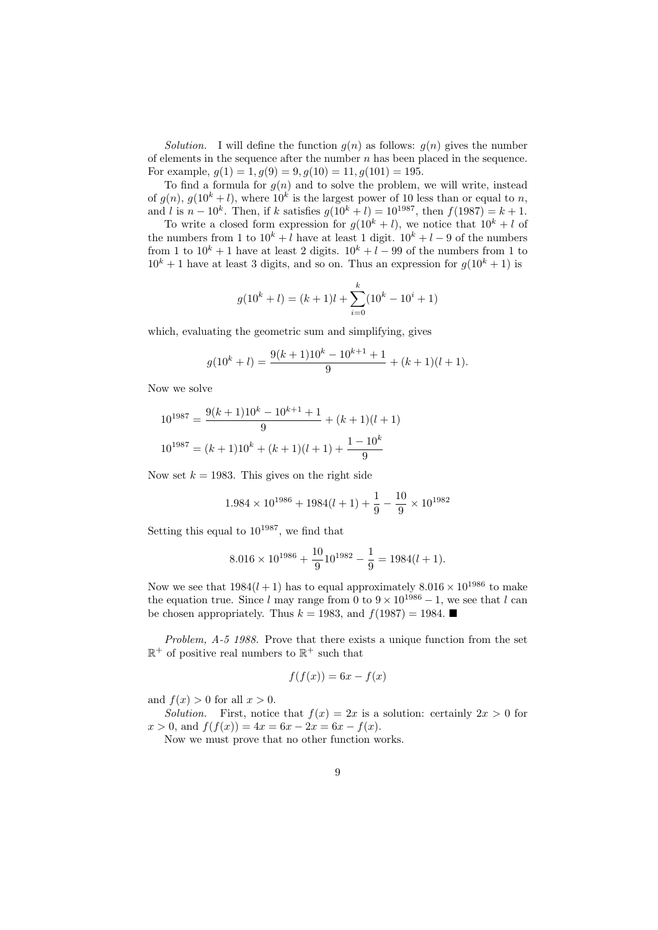Solution. I will define the function  $g(n)$  as follows:  $g(n)$  gives the number of elements in the sequence after the number  $n$  has been placed in the sequence. For example,  $g(1) = 1, g(9) = 9, g(10) = 11, g(101) = 195$ .

To find a formula for  $g(n)$  and to solve the problem, we will write, instead of  $g(n)$ ,  $g(10^k + l)$ , where  $10^k$  is the largest power of 10 less than or equal to n, and l is  $n - 10<sup>k</sup>$ . Then, if k satisfies  $g(10<sup>k</sup> + l) = 10<sup>1987</sup>$ , then  $f(1987) = k + 1$ .

To write a closed form expression for  $q(10^k + l)$ , we notice that  $10^k + l$  of the numbers from 1 to  $10^k + l$  have at least 1 digit.  $10^k + l - 9$  of the numbers from 1 to  $10^k + 1$  have at least 2 digits.  $10^k + l - 99$  of the numbers from 1 to  $10<sup>k</sup> + 1$  have at least 3 digits, and so on. Thus an expression for  $q(10<sup>k</sup> + 1)$  is

$$
g(10^k + l) = (k+1)l + \sum_{i=0}^{k} (10^k - 10^i + 1)
$$

which, evaluating the geometric sum and simplifying, gives

$$
g(10k + l) = \frac{9(k+1)10k - 10k+1 + 1}{9} + (k+1)(l+1).
$$

Now we solve

$$
10^{1987} = \frac{9(k+1)10^k - 10^{k+1} + 1}{9} + (k+1)(l+1)
$$

$$
10^{1987} = (k+1)10^k + (k+1)(l+1) + \frac{1-10^k}{9}
$$

Now set  $k = 1983$ . This gives on the right side

$$
1.984 \times 10^{1986} + 1984(l+1) + \frac{1}{9} - \frac{10}{9} \times 10^{1982}
$$

Setting this equal to  $10^{1987}$ , we find that

$$
8.016 \times 10^{1986} + \frac{10}{9} 10^{1982} - \frac{1}{9} = 1984(l+1).
$$

Now we see that  $1984(l + 1)$  has to equal approximately  $8.016 \times 10^{1986}$  to make the equation true. Since l may range from 0 to  $9 \times 10^{1986} - 1$ , we see that l can be chosen appropriately. Thus  $k = 1983$ , and  $f(1987) = 1984$ .

Problem, A-5 1988. Prove that there exists a unique function from the set  $\mathbb{R}^+$  of positive real numbers to  $\mathbb{R}^+$  such that

$$
f(f(x)) = 6x - f(x)
$$

and  $f(x) > 0$  for all  $x > 0$ .

Solution. First, notice that  $f(x) = 2x$  is a solution: certainly  $2x > 0$  for  $x > 0$ , and  $f(f(x)) = 4x = 6x - 2x = 6x - f(x)$ .

Now we must prove that no other function works.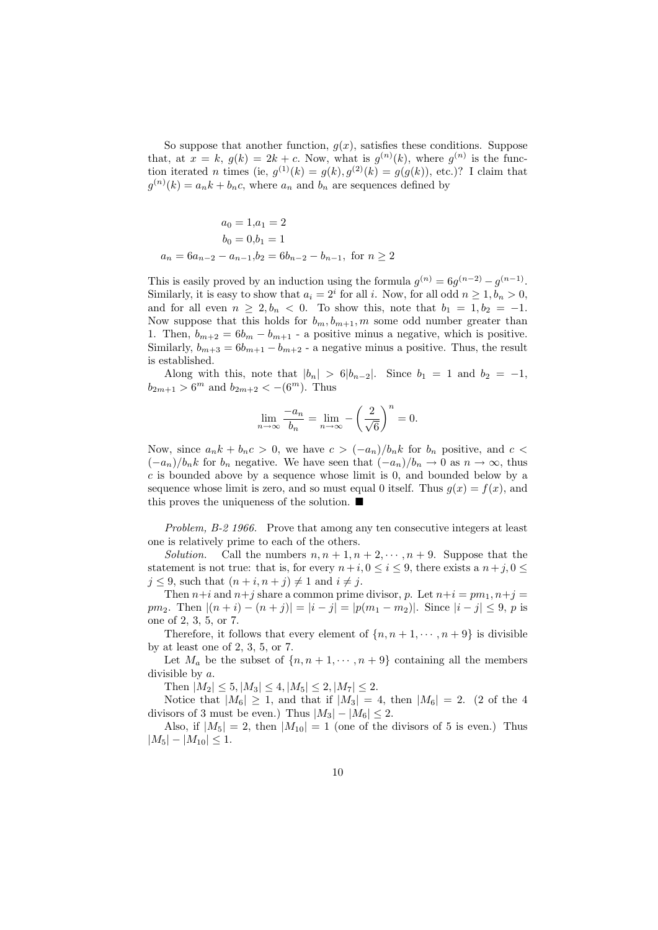So suppose that another function,  $g(x)$ , satisfies these conditions. Suppose that, at  $x = k$ ,  $g(k) = 2k + c$ . Now, what is  $g^{(n)}(k)$ , where  $g^{(n)}$  is the function iterated *n* times (ie,  $g^{(1)}(k) = g(k), g^{(2)}(k) = g(g(k))$ , etc.)? I claim that  $g^{(n)}(k) = a_n k + b_n c$ , where  $a_n$  and  $b_n$  are sequences defined by

$$
a_0 = 1, a_1 = 2
$$
  
\n
$$
b_0 = 0, b_1 = 1
$$
  
\n
$$
a_n = 6a_{n-2} - a_{n-1}, b_2 = 6b_{n-2} - b_{n-1}, \text{ for } n \ge 2
$$

This is easily proved by an induction using the formula  $g^{(n)} = 6g^{(n-2)} - g^{(n-1)}$ . Similarly, it is easy to show that  $a_i = 2^i$  for all i. Now, for all odd  $n \ge 1, b_n > 0$ , and for all even  $n \geq 2, b_n < 0$ . To show this, note that  $b_1 = 1, b_2 = -1$ . Now suppose that this holds for  $b_m, b_{m+1}, m$  some odd number greater than 1. Then,  $b_{m+2} = 6b_m - b_{m+1}$  - a positive minus a negative, which is positive. Similarly,  $b_{m+3} = 6b_{m+1} - b_{m+2}$  - a negative minus a positive. Thus, the result is established.

Along with this, note that  $|b_n| > 6|b_{n-2}|$ . Since  $b_1 = 1$  and  $b_2 = -1$ ,  $b_{2m+1} > 6^m$  and  $b_{2m+2} < -(6^m)$ . Thus

$$
\lim_{n \to \infty} \frac{-a_n}{b_n} = \lim_{n \to \infty} -\left(\frac{2}{\sqrt{6}}\right)^n = 0.
$$

Now, since  $a_n k + b_n c > 0$ , we have  $c > (-a_n)/b_n k$  for  $b_n$  positive, and  $c <$  $(-a_n)/b_n$ k for  $b_n$  negative. We have seen that  $(-a_n)/b_n \to 0$  as  $n \to \infty$ , thus  $c$  is bounded above by a sequence whose limit is 0, and bounded below by a sequence whose limit is zero, and so must equal 0 itself. Thus  $q(x) = f(x)$ , and this proves the uniqueness of the solution.  $\blacksquare$ 

Problem, B-2 1966. Prove that among any ten consecutive integers at least one is relatively prime to each of the others.

Solution. Call the numbers  $n, n+1, n+2, \cdots, n+9$ . Suppose that the statement is not true: that is, for every  $n+i, 0 \le i \le 9$ , there exists a  $n+j, 0 \le$  $j \leq 9$ , such that  $(n+i, n+j) \neq 1$  and  $i \neq j$ .

Then  $n+i$  and  $n+j$  share a common prime divisor, p. Let  $n+i = pm_1, n+j =$ pm<sub>2</sub>. Then  $|(n+i)-(n+j)| = |i-j| = |p(m_1 - m_2)|$ . Since  $|i-j| \leq 9$ , p is one of 2, 3, 5, or 7.

Therefore, it follows that every element of  $\{n, n+1, \dots, n+9\}$  is divisible by at least one of 2, 3, 5, or 7.

Let  $M_a$  be the subset of  $\{n, n+1, \dots, n+9\}$  containing all the members divisible by a.

Then  $|M_2| \leq 5, |M_3| \leq 4, |M_5| \leq 2, |M_7| \leq 2.$ 

Notice that  $|M_6| \geq 1$ , and that if  $|M_3| = 4$ , then  $|M_6| = 2$ . (2 of the 4 divisors of 3 must be even.) Thus  $|M_3| - |M_6| \leq 2$ .

Also, if  $|M_5| = 2$ , then  $|M_{10}| = 1$  (one of the divisors of 5 is even.) Thus  $|M_5| - |M_{10}| \leq 1.$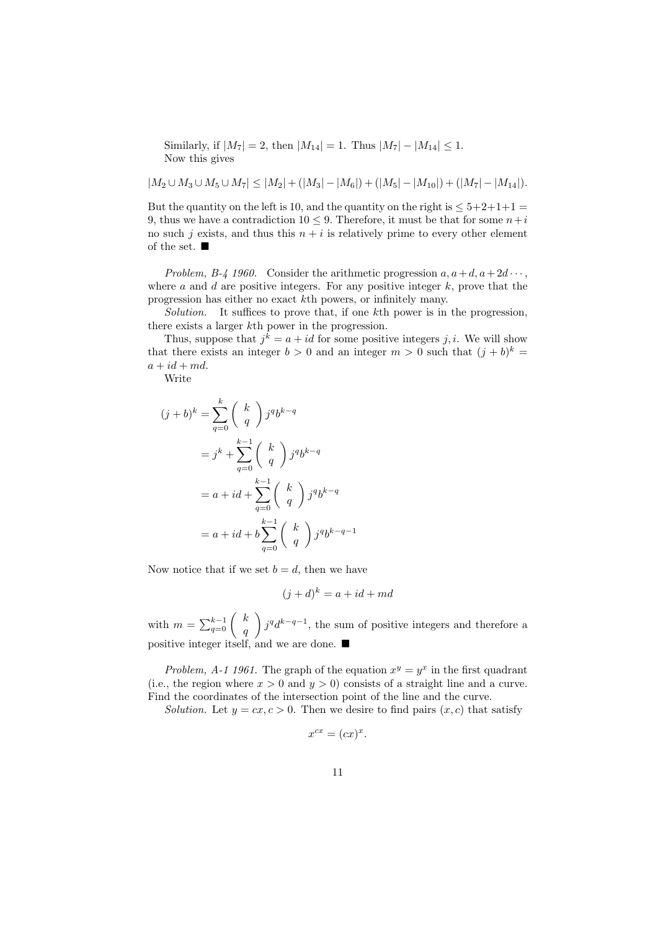Similarly, if  $|M_7| = 2$ , then  $|M_{14}| = 1$ . Thus  $|M_7| - |M_{14}| \leq 1$ . Now this gives

 $|M_2\cup M_3\cup M_5\cup M_7|\leq |M_2|+(|M_3|-|M_6|)+(|M_5|-|M_{10}|)+(|M_7|-|M_{14}|).$ 

But the quantity on the left is 10, and the quantity on the right is  $\leq 5+2+1+1=$ 9, thus we have a contradiction  $10 \leq 9$ . Therefore, it must be that for some  $n+i$ no such j exists, and thus this  $n + i$  is relatively prime to every other element of the set.  $\blacksquare$ 

Problem, B-4 1960. Consider the arithmetic progression  $a, a+d, a+2d \cdots$ , where  $a$  and  $d$  are positive integers. For any positive integer  $k$ , prove that the progression has either no exact kth powers, or infinitely many.

Solution. It suffices to prove that, if one kth power is in the progression. there exists a larger kth power in the progression.

Thus, suppose that  $j^k = a + id$  for some positive integers j, i. We will show that there exists an integer  $b > 0$  and an integer  $m > 0$  such that  $(j + b)^k =$  $a + id + md$ .

Write

$$
(j+b)^k = \sum_{q=0}^k {k \choose q} j^q b^{k-q}
$$

$$
= j^k + \sum_{q=0}^{k-1} {k \choose q} j^q b^{k-q}
$$

$$
= a + id + \sum_{q=0}^{k-1} {k \choose q} j^q b^{k-q}
$$

$$
= a + id + b \sum_{q=0}^{k-1} {k \choose q} j^q b^{k-q-1}
$$

Now notice that if we set  $b = d$ , then we have

$$
(j+d)^k = a + id + md
$$

with  $m = \sum_{q=0}^{k-1} \begin{pmatrix} k \\ a \end{pmatrix}$  $\overline{q}$  $igq d^{k-q-1}$ , the sum of positive integers and therefore a positive integer itself, and we are done.

Problem, A-1 1961. The graph of the equation  $x^y = y^x$  in the first quadrant (i.e., the region where  $x > 0$  and  $y > 0$ ) consists of a straight line and a curve. Find the coordinates of the intersection point of the line and the curve.

Solution. Let  $y = cx, c > 0$ . Then we desire to find pairs  $(x, c)$  that satisfy

$$
x^{cx} = (cx)^x.
$$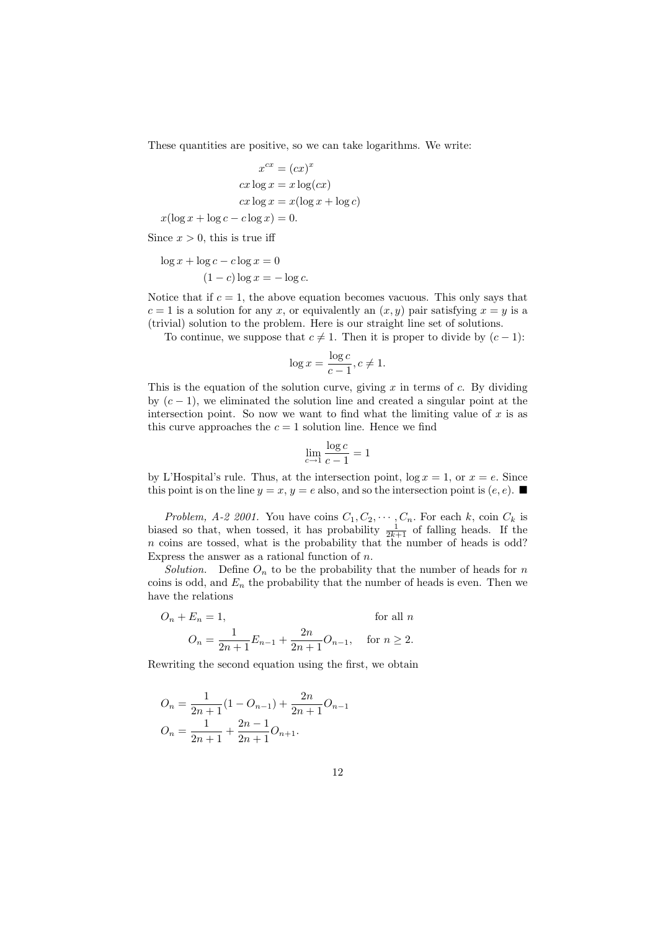These quantities are positive, so we can take logarithms. We write:

$$
x^{cx} = (cx)^x
$$

$$
cx \log x = x \log(cx)
$$

$$
cx \log x = x(\log x + \log c)
$$

$$
x(\log x + \log c - c \log x) = 0.
$$

Since  $x > 0$ , this is true iff

$$
\log x + \log c - c \log x = 0
$$

$$
(1 - c) \log x = -\log c.
$$

Notice that if  $c = 1$ , the above equation becomes vacuous. This only says that  $c = 1$  is a solution for any x, or equivalently an  $(x, y)$  pair satisfying  $x = y$  is a (trivial) solution to the problem. Here is our straight line set of solutions.

To continue, we suppose that  $c \neq 1$ . Then it is proper to divide by  $(c - 1)$ :

$$
\log x = \frac{\log c}{c - 1}, c \neq 1.
$$

This is the equation of the solution curve, giving  $x$  in terms of  $c$ . By dividing by  $(c - 1)$ , we eliminated the solution line and created a singular point at the intersection point. So now we want to find what the limiting value of  $x$  is as this curve approaches the  $c = 1$  solution line. Hence we find

$$
\lim_{c \to 1} \frac{\log c}{c - 1} = 1
$$

by L'Hospital's rule. Thus, at the intersection point,  $\log x = 1$ , or  $x = e$ . Since this point is on the line  $y = x, y = e$  also, and so the intersection point is  $(e, e)$ .

Problem, A-2 2001. You have coins  $C_1, C_2, \cdots, C_n$ . For each k, coin  $C_k$  is biased so that, when tossed, it has probability  $\frac{1}{2k+1}$  of falling heads. If the n coins are tossed, what is the probability that the number of heads is odd? Express the answer as a rational function of  $n$ .

Solution. Define  $O_n$  to be the probability that the number of heads for n coins is odd, and  $E_n$  the probability that the number of heads is even. Then we have the relations

$$
O_n + E_n = 1,
$$
 for all  $n$   

$$
O_n = \frac{1}{2n+1} E_{n-1} + \frac{2n}{2n+1} O_{n-1},
$$
 for  $n \ge 2$ .

Rewriting the second equation using the first, we obtain

$$
O_n = \frac{1}{2n+1}(1 - O_{n-1}) + \frac{2n}{2n+1}O_{n-1}
$$

$$
O_n = \frac{1}{2n+1} + \frac{2n-1}{2n+1}O_{n+1}.
$$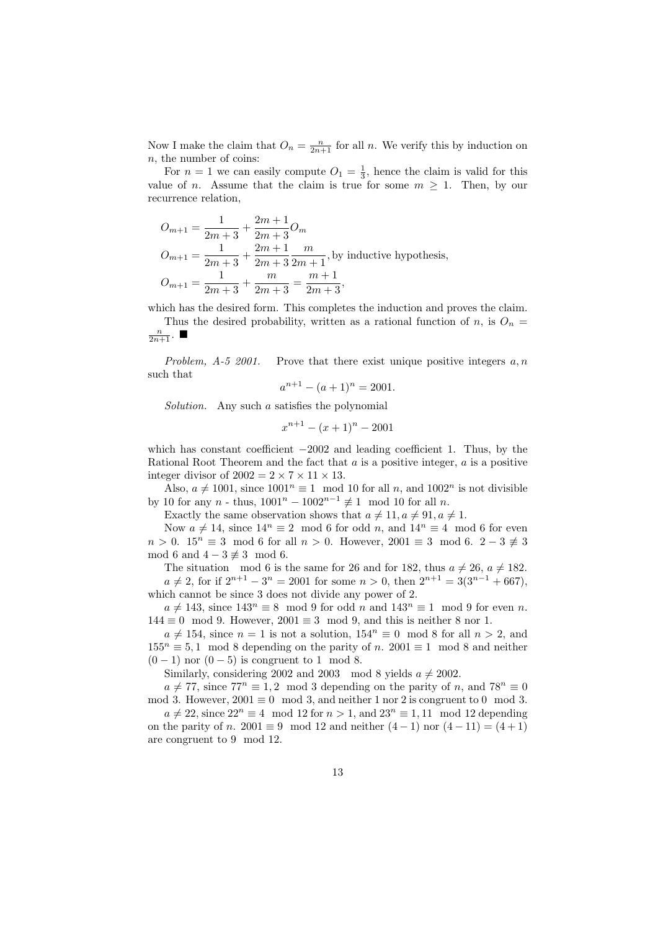Now I make the claim that  $O_n = \frac{n}{2n+1}$  for all n. We verify this by induction on n, the number of coins:

For  $n = 1$  we can easily compute  $O_1 = \frac{1}{3}$ , hence the claim is valid for this value of *n*. Assume that the claim is true for some  $m \geq 1$ . Then, by our recurrence relation,

$$
O_{m+1} = \frac{1}{2m+3} + \frac{2m+1}{2m+3}O_m
$$
  
\n
$$
O_{m+1} = \frac{1}{2m+3} + \frac{2m+1}{2m+3} \frac{m}{2m+1}
$$
, by inductive hypothesis,  
\n
$$
O_{m+1} = \frac{1}{2m+3} + \frac{m}{2m+3} = \frac{m+1}{2m+3}
$$
,

which has the desired form. This completes the induction and proves the claim. Thus the desired probability, written as a rational function of n, is  $O_n =$ 

$$
\frac{n}{2n+1}
$$
.  $\blacksquare$ 

Problem,  $A-5$  2001. Prove that there exist unique positive integers  $a, n$ such that

$$
a^{n+1} - (a+1)^n = 2001.
$$

Solution. Any such a satisfies the polynomial

$$
x^{n+1} - (x+1)^n - 2001
$$

which has constant coefficient  $-2002$  and leading coefficient 1. Thus, by the Rational Root Theorem and the fact that  $a$  is a positive integer,  $a$  is a positive integer divisor of  $2002 = 2 \times 7 \times 11 \times 13$ .

Also,  $a \neq 1001$ , since  $1001^n \equiv 1 \mod 10$  for all n, and  $1002^n$  is not divisible by 10 for any n - thus,  $1001^{n} - 1002^{n-1} \not\equiv 1 \mod 10$  for all n.

Exactly the same observation shows that  $a \neq 11, a \neq 91, a \neq 1$ .

Now  $a \neq 14$ , since  $14^n \equiv 2 \mod 6$  for odd n, and  $14^n \equiv 4 \mod 6$  for even  $n > 0$ .  $15^n \equiv 3 \mod 6$  for all  $n > 0$ . However,  $2001 \equiv 3 \mod 6$ .  $2-3 \not\equiv 3$ mod 6 and  $4-3 \not\equiv 3 \mod 6$ .

The situation mod 6 is the same for 26 and for 182, thus  $a \neq 26$ ,  $a \neq 182$ .  $a \neq 2$ , for if  $2^{n+1} - 3^n = 2001$  for some  $n > 0$ , then  $2^{n+1} = 3(3^{n-1} + 667)$ , which cannot be since 3 does not divide any power of 2.

 $a \neq 143$ , since  $143^n \equiv 8 \mod 9$  for odd n and  $143^n \equiv 1 \mod 9$  for even n.  $144 \equiv 0 \mod 9$ . However,  $2001 \equiv 3 \mod 9$ , and this is neither 8 nor 1.

 $a \neq 154$ , since  $n = 1$  is not a solution,  $154^n \equiv 0 \mod 8$  for all  $n > 2$ , and  $155^n \equiv 5,1 \mod 8$  depending on the parity of n. 2001  $\equiv 1 \mod 8$  and neither  $(0-1)$  nor  $(0-5)$  is congruent to 1 mod 8.

Similarly, considering 2002 and 2003 mod 8 yields  $a \neq 2002$ .

 $a \neq 77$ , since  $77<sup>n</sup> \equiv 1, 2 \mod 3$  depending on the parity of n, and  $78<sup>n</sup> \equiv 0$ mod 3. However,  $2001 \equiv 0 \mod 3$ , and neither 1 nor 2 is congruent to 0 mod 3.

 $a \neq 22$ , since  $22^n \equiv 4 \mod 12$  for  $n > 1$ , and  $23^n \equiv 1, 11 \mod 12$  depending on the parity of n. 2001  $\equiv 9 \mod 12$  and neither  $(4-1)$  nor  $(4-11) = (4+1)$ are congruent to 9 mod 12.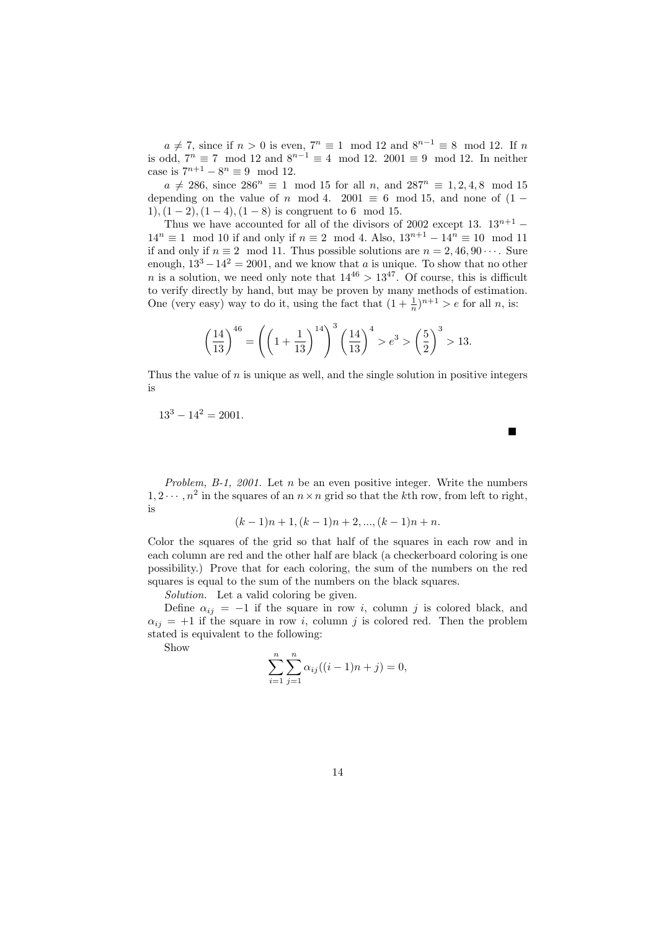$a \neq 7$ , since if  $n > 0$  is even,  $7<sup>n</sup> \equiv 1 \mod 12$  and  $8<sup>n-1</sup> \equiv 8 \mod 12$ . If n is odd,  $7^n \equiv 7 \mod 12$  and  $8^{n-1} \equiv 4 \mod 12$ . 2001  $\equiv 9 \mod 12$ . In neither case is  $7^{n+1} - 8^n \equiv 9 \mod 12$ .

 $a \neq 286$ , since  $286^n \equiv 1 \mod 15$  for all n, and  $287^n \equiv 1, 2, 4, 8 \mod 15$ depending on the value of n mod 4. 2001  $\equiv$  6 mod 15, and none of (1 − 1),  $(1 - 2)$ ,  $(1 - 4)$ ,  $(1 - 8)$  is congruent to 6 mod 15.

Thus we have accounted for all of the divisors of 2002 except 13.  $13^{n+1}$  –  $14^{n} \equiv 1 \mod 10$  if and only if  $n \equiv 2 \mod 4$ . Also,  $13^{n+1} - 14^{n} \equiv 10 \mod 11$ if and only if  $n \equiv 2 \mod 11$ . Thus possible solutions are  $n = 2, 46, 90 \cdots$ . Sure enough,  $13^3 - 14^2 = 2001$ , and we know that a is unique. To show that no other n is a solution, we need only note that  $14^{46} > 13^{47}$ . Of course, this is difficult to verify directly by hand, but may be proven by many methods of estimation. One (very easy) way to do it, using the fact that  $(1 + \frac{1}{n})^{n+1} > e$  for all n, is:

$$
\left(\frac{14}{13}\right)^{46} = \left(\left(1 + \frac{1}{13}\right)^{14}\right)^3 \left(\frac{14}{13}\right)^4 > e^3 > \left(\frac{5}{2}\right)^3 > 13.
$$

Thus the value of  $n$  is unique as well, and the single solution in positive integers is

п

$$
13^3 - 14^2 = 2001.
$$

Problem, B-1, 2001. Let  $n$  be an even positive integer. Write the numbers  $1, 2 \cdots, n^2$  in the squares of an  $n \times n$  grid so that the kth row, from left to right, is

$$
(k-1)n+1
$$
,  $(k-1)n+2$ , ...,  $(k-1)n+n$ .

Color the squares of the grid so that half of the squares in each row and in each column are red and the other half are black (a checkerboard coloring is one possibility.) Prove that for each coloring, the sum of the numbers on the red squares is equal to the sum of the numbers on the black squares.

Solution. Let a valid coloring be given.

Define  $\alpha_{ij} = -1$  if the square in row i, column j is colored black, and  $\alpha_{ij} = +1$  if the square in row i, column j is colored red. Then the problem stated is equivalent to the following:

Show

$$
\sum_{i=1}^{n} \sum_{j=1}^{n} \alpha_{ij}((i-1)n + j) = 0,
$$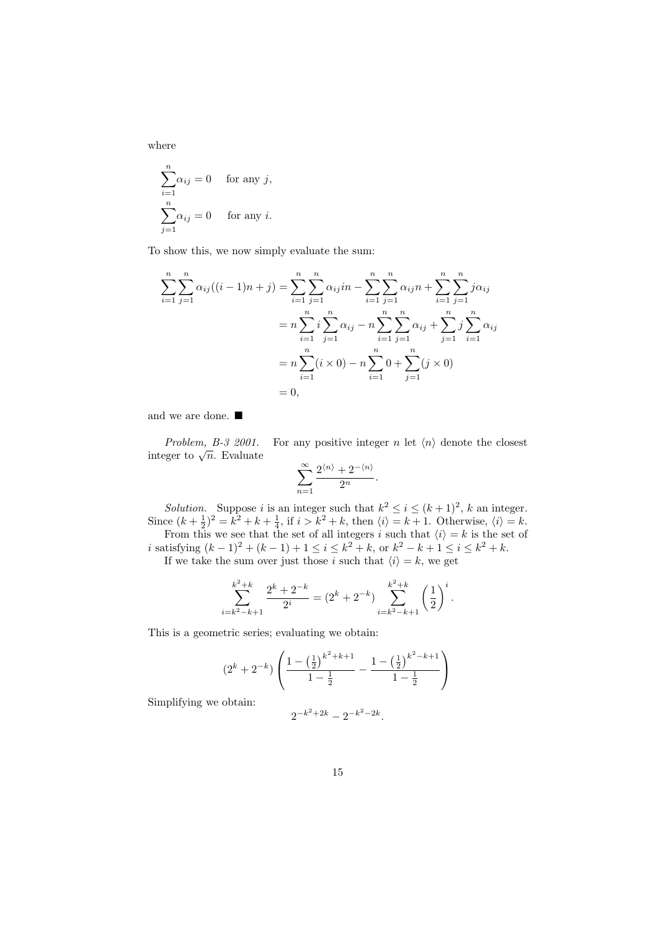where

$$
\sum_{i=1}^{n} \alpha_{ij} = 0 \quad \text{for any } j,
$$

$$
\sum_{j=1}^{n} \alpha_{ij} = 0 \quad \text{for any } i.
$$

To show this, we now simply evaluate the sum:

$$
\sum_{i=1}^{n} \sum_{j=1}^{n} \alpha_{ij}((i-1)n+j) = \sum_{i=1}^{n} \sum_{j=1}^{n} \alpha_{ij}in - \sum_{i=1}^{n} \sum_{j=1}^{n} \alpha_{ij}n + \sum_{i=1}^{n} \sum_{j=1}^{n} j\alpha_{ij}
$$

$$
= n \sum_{i=1}^{n} i \sum_{j=1}^{n} \alpha_{ij} - n \sum_{i=1}^{n} \sum_{j=1}^{n} \alpha_{ij} + \sum_{j=1}^{n} j \sum_{i=1}^{n} \alpha_{ij}
$$

$$
= n \sum_{i=1}^{n} (i \times 0) - n \sum_{i=1}^{n} 0 + \sum_{j=1}^{n} (j \times 0)
$$

$$
= 0,
$$

and we are done.  $\blacksquare$ 

Problem, B-3 2001. For any positive integer n let  $\langle n \rangle$  denote the closest *Fronten, B-3 2001.*<br>integer to  $\sqrt{n}$ . Evaluate

$$
\sum_{n=1}^{\infty} \frac{2^{\langle n \rangle} + 2^{-\langle n \rangle}}{2^n}.
$$

*Solution*. Suppose *i* is an integer such that  $k^2 \le i \le (k+1)^2$ , *k* an integer. Since  $(k + \frac{1}{2})^2 = k^2 + k + \frac{1}{4}$ , if  $i > k^2 + k$ , then  $\langle i \rangle = k + 1$ . Otherwise,  $\langle i \rangle = k$ .

From this we see that the set of all integers i such that  $\langle i \rangle = k$  is the set of *i* satisfying  $(k-1)^2 + (k-1) + 1 \le i \le k^2 + k$ , or  $k^2 - k + 1 \le i \le k^2 + k$ .

If we take the sum over just those i such that  $\langle i \rangle = k$ , we get

$$
\sum_{i=k^2-k+1}^{k^2+k} \frac{2^k+2^{-k}}{2^i} = (2^k+2^{-k}) \sum_{i=k^2-k+1}^{k^2+k} \left(\frac{1}{2}\right)^i.
$$

This is a geometric series; evaluating we obtain:

$$
(2^{k}+2^{-k})\left(\frac{1-\left(\frac{1}{2}\right)^{k^{2}+k+1}}{1-\frac{1}{2}}-\frac{1-\left(\frac{1}{2}\right)^{k^{2}-k+1}}{1-\frac{1}{2}}\right)
$$

Simplifying we obtain:

$$
2^{-k^2+2k} - 2^{-k^2-2k}.
$$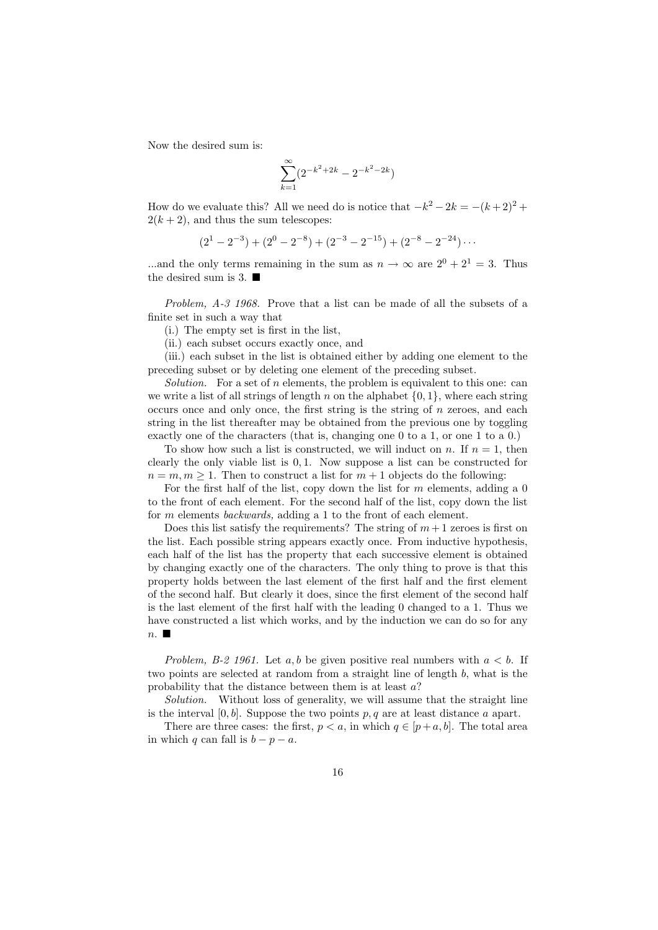Now the desired sum is:

$$
\sum_{k=1}^{\infty} (2^{-k^2 + 2k} - 2^{-k^2 - 2k})
$$

How do we evaluate this? All we need do is notice that  $-k^2 - 2k = -(k+2)^2 +$  $2(k+2)$ , and thus the sum telescopes:

$$
(21 - 2-3) + (20 - 2-8) + (2-3 - 2-15) + (2-8 - 2-24) \cdots
$$

...and the only terms remaining in the sum as  $n \to \infty$  are  $2^0 + 2^1 = 3$ . Thus the desired sum is 3.

Problem, A-3 1968. Prove that a list can be made of all the subsets of a finite set in such a way that

(i.) The empty set is first in the list,

(ii.) each subset occurs exactly once, and

(iii.) each subset in the list is obtained either by adding one element to the preceding subset or by deleting one element of the preceding subset.

Solution. For a set of n elements, the problem is equivalent to this one: can we write a list of all strings of length n on the alphabet  $\{0, 1\}$ , where each string occurs once and only once, the first string is the string of n zeroes, and each string in the list thereafter may be obtained from the previous one by toggling exactly one of the characters (that is, changing one 0 to a 1, or one 1 to a 0.)

To show how such a list is constructed, we will induct on n. If  $n = 1$ , then clearly the only viable list is 0, 1. Now suppose a list can be constructed for  $n = m, m \geq 1$ . Then to construct a list for  $m + 1$  objects do the following:

For the first half of the list, copy down the list for  $m$  elements, adding a  $0$ to the front of each element. For the second half of the list, copy down the list for m elements backwards, adding a 1 to the front of each element.

Does this list satisfy the requirements? The string of  $m+1$  zeroes is first on the list. Each possible string appears exactly once. From inductive hypothesis, each half of the list has the property that each successive element is obtained by changing exactly one of the characters. The only thing to prove is that this property holds between the last element of the first half and the first element of the second half. But clearly it does, since the first element of the second half is the last element of the first half with the leading 0 changed to a 1. Thus we have constructed a list which works, and by the induction we can do so for any  $n.$ 

Problem, B-2 1961. Let a, b be given positive real numbers with  $a < b$ . If two points are selected at random from a straight line of length b, what is the probability that the distance between them is at least a?

Solution. Without loss of generality, we will assume that the straight line is the interval  $[0, b]$ . Suppose the two points p, q are at least distance a apart.

There are three cases: the first,  $p < a$ , in which  $q \in [p+a, b]$ . The total area in which q can fall is  $b - p - a$ .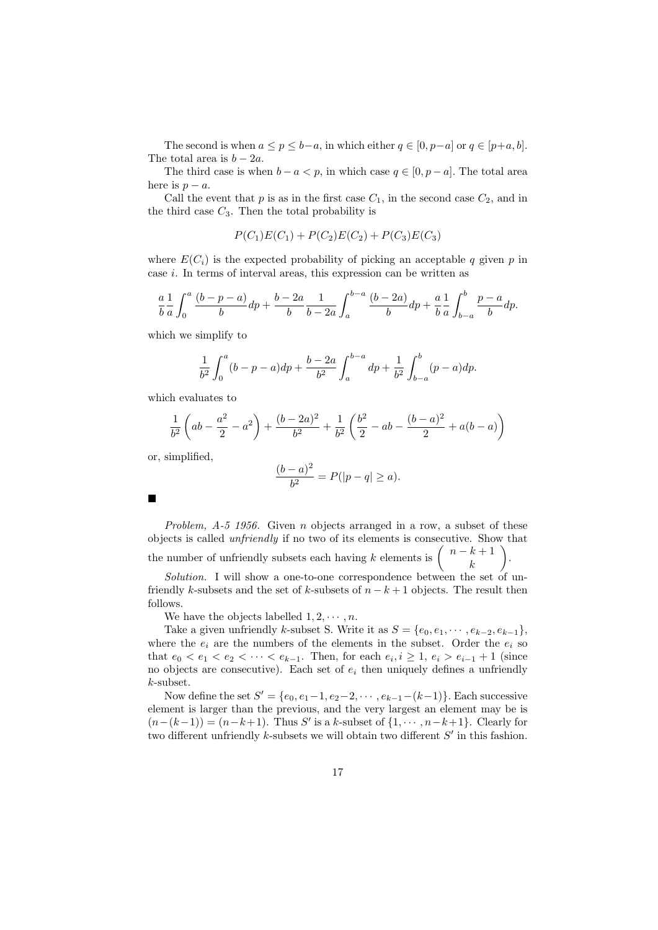The second is when  $a \le p \le b-a$ , in which either  $q \in [0, p-a]$  or  $q \in [p+a, b]$ . The total area is  $b - 2a$ .

The third case is when  $b - a < p$ , in which case  $q \in [0, p - a]$ . The total area here is  $p - a$ .

Call the event that  $p$  is as in the first case  $C_1$ , in the second case  $C_2$ , and in the third case  $C_3$ . Then the total probability is

$$
P(C_1)E(C_1) + P(C_2)E(C_2) + P(C_3)E(C_3)
$$

where  $E(C_i)$  is the expected probability of picking an acceptable q given p in case i. In terms of interval areas, this expression can be written as

$$
\frac{a}{b}\frac{1}{a}\int_0^a \frac{(b-p-a)}{b} dp + \frac{b-2a}{b}\frac{1}{b-2a}\int_a^{b-a} \frac{(b-2a)}{b} dp + \frac{a}{b}\frac{1}{a}\int_{b-a}^b \frac{p-a}{b} dp.
$$

which we simplify to

$$
\frac{1}{b^2} \int_0^a (b - p - a) dp + \frac{b - 2a}{b^2} \int_a^{b - a} dp + \frac{1}{b^2} \int_{b - a}^b (p - a) dp.
$$

which evaluates to

$$
\frac{1}{b^2} \left( ab - \frac{a^2}{2} - a^2 \right) + \frac{(b - 2a)^2}{b^2} + \frac{1}{b^2} \left( \frac{b^2}{2} - ab - \frac{(b - a)^2}{2} + a(b - a) \right)
$$

or, simplified,

$$
\frac{(b-a)^2}{b^2} = P(|p-q| \ge a).
$$

Problem, A-5 1956. Given n objects arranged in a row, a subset of these objects is called unfriendly if no two of its elements is consecutive. Show that the number of unfriendly subsets each having k elements is  $\binom{n-k+1}{k}$ k  $\setminus$ .

Solution. I will show a one-to-one correspondence between the set of unfriendly k-subsets and the set of k-subsets of  $n - k + 1$  objects. The result then follows.

We have the objects labelled  $1, 2, \cdots, n$ .

Take a given unfriendly k-subset S. Write it as  $S = \{e_0, e_1, \dots, e_{k-2}, e_{k-1}\},\$ where the  $e_i$  are the numbers of the elements in the subset. Order the  $e_i$  so that  $e_0 < e_1 < e_2 < \cdots < e_{k-1}$ . Then, for each  $e_i, i \geq 1, e_i > e_{i-1} + 1$  (since no objects are consecutive). Each set of  $e_i$  then uniquely defines a unfriendly k-subset.

Now define the set  $S' = \{e_0, e_1 - 1, e_2 - 2, \dots, e_{k-1} - (k-1)\}\.$  Each successive element is larger than the previous, and the very largest an element may be is  $(n-(k-1)) = (n-k+1)$ . Thus S' is a k-subset of  $\{1, \dots, n-k+1\}$ . Clearly for two different unfriendly  $k$ -subsets we will obtain two different  $S'$  in this fashion.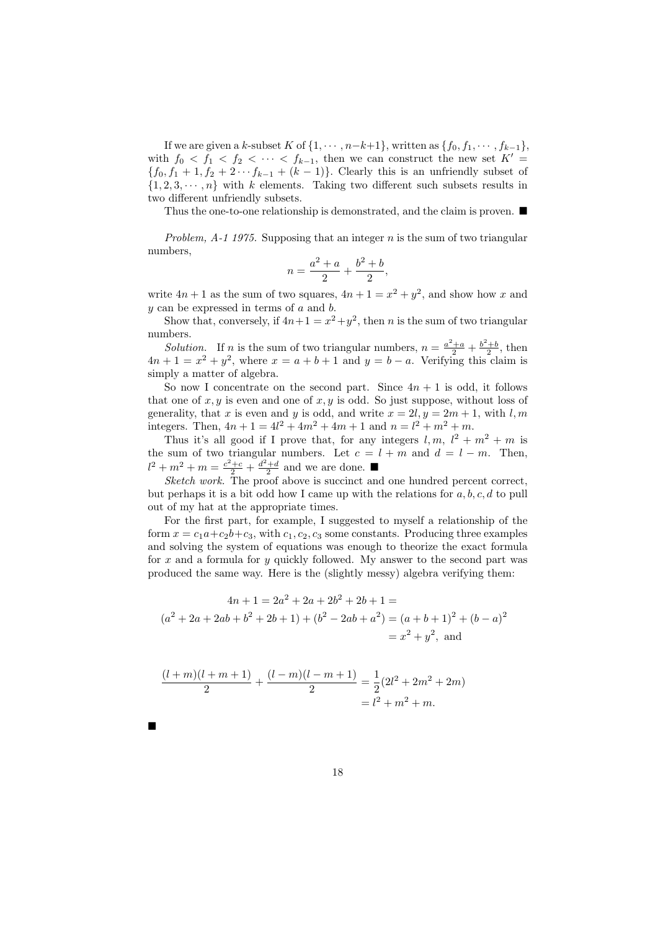If we are given a k-subset K of  $\{1, \dots, n-k+1\}$ , written as  $\{f_0, f_1, \dots, f_{k-1}\}$ , with  $f_0 < f_1 < f_2 < \cdots < f_{k-1}$ , then we can construct the new set  $K' =$  ${f_0, f_1 + 1, f_2 + 2 \cdots f_{k-1} + (k-1)}$ . Clearly this is an unfriendly subset of  $\{1, 2, 3, \dots, n\}$  with k elements. Taking two different such subsets results in two different unfriendly subsets.

Thus the one-to-one relationship is demonstrated, and the claim is proven.  $\blacksquare$ 

Problem,  $A-1$  1975. Supposing that an integer n is the sum of two triangular numbers,

$$
n = \frac{a^2 + a}{2} + \frac{b^2 + b}{2},
$$

write  $4n + 1$  as the sum of two squares,  $4n + 1 = x^2 + y^2$ , and show how x and  $y$  can be expressed in terms of  $a$  and  $b$ .

Show that, conversely, if  $4n+1 = x^2+y^2$ , then n is the sum of two triangular numbers.

*Solution*. If n is the sum of two triangular numbers,  $n = \frac{a^2 + a}{2} + \frac{b^2 + b}{2}$ , then  $4n + 1 = x<sup>2</sup> + y<sup>2</sup>$ , where  $x = a + b + 1$  and  $y = b - a$ . Verifying this claim is simply a matter of algebra.

So now I concentrate on the second part. Since  $4n + 1$  is odd, it follows that one of  $x, y$  is even and one of  $x, y$  is odd. So just suppose, without loss of generality, that x is even and y is odd, and write  $x = 2l, y = 2m + 1$ , with l, m integers. Then,  $4n + 1 = 4l^2 + 4m^2 + 4m + 1$  and  $n = l^2 + m^2 + m$ .

Thus it's all good if I prove that, for any integers  $l, m, l^2 + m^2 + m$  is the sum of two triangular numbers. Let  $c = l + m$  and  $d = l - m$ . Then,  $l^2 + m^2 + m = \frac{c^2 + c}{2} + \frac{d^2 + d}{2}$  and we are done.

Sketch work. The proof above is succinct and one hundred percent correct, but perhaps it is a bit odd how I came up with the relations for  $a, b, c, d$  to pull out of my hat at the appropriate times.

For the first part, for example, I suggested to myself a relationship of the form  $x = c_1a+c_2b+c_3$ , with  $c_1, c_2, c_3$  some constants. Producing three examples and solving the system of equations was enough to theorize the exact formula for x and a formula for y quickly followed. My answer to the second part was produced the same way. Here is the (slightly messy) algebra verifying them:

$$
4n + 1 = 2a2 + 2a + 2b2 + 2b + 1 =
$$
  

$$
(a2 + 2a + 2ab + b2 + 2b + 1) + (b2 - 2ab + a2) = (a + b + 1)2 + (b - a)2
$$
  

$$
= x2 + y2, and
$$

$$
\frac{(l+m)(l+m+1)}{2} + \frac{(l-m)(l-m+1)}{2} = \frac{1}{2}(2l^2 + 2m^2 + 2m)
$$

$$
= l^2 + m^2 + m.
$$

 $\blacksquare$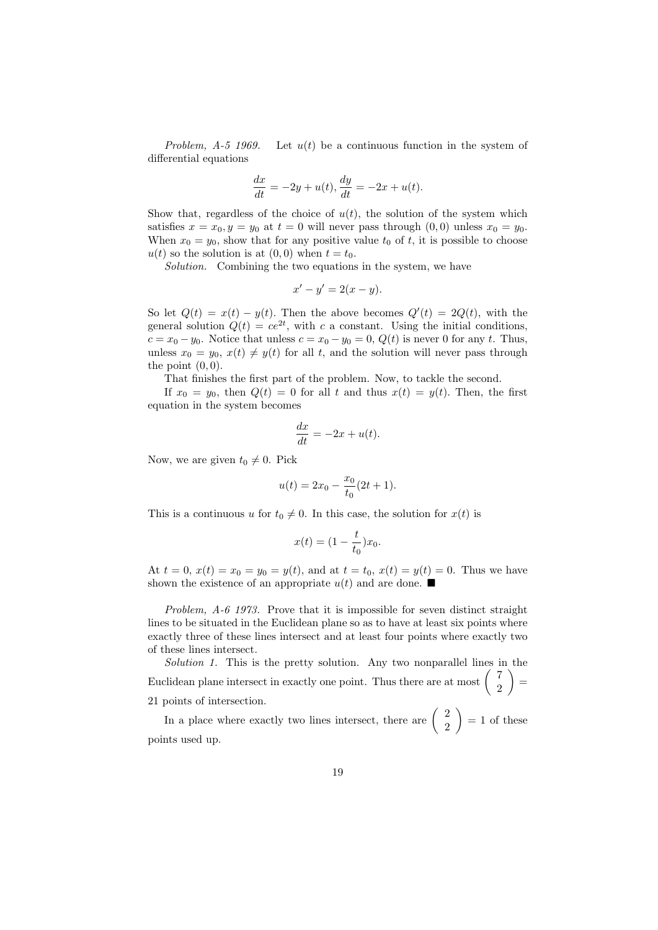Problem,  $A-5$  1969. Let  $u(t)$  be a continuous function in the system of differential equations

$$
\frac{dx}{dt} = -2y + u(t), \frac{dy}{dt} = -2x + u(t).
$$

Show that, regardless of the choice of  $u(t)$ , the solution of the system which satisfies  $x = x_0, y = y_0$  at  $t = 0$  will never pass through  $(0, 0)$  unless  $x_0 = y_0$ . When  $x_0 = y_0$ , show that for any positive value  $t_0$  of t, it is possible to choose  $u(t)$  so the solution is at  $(0, 0)$  when  $t = t_0$ .

Solution. Combining the two equations in the system, we have

$$
x'-y'=2(x-y).
$$

So let  $Q(t) = x(t) - y(t)$ . Then the above becomes  $Q'(t) = 2Q(t)$ , with the general solution  $Q(t) = ce^{2t}$ , with c a constant. Using the initial conditions,  $c = x_0 - y_0$ . Notice that unless  $c = x_0 - y_0 = 0$ ,  $Q(t)$  is never 0 for any t. Thus, unless  $x_0 = y_0, x(t) \neq y(t)$  for all t, and the solution will never pass through the point  $(0, 0)$ .

That finishes the first part of the problem. Now, to tackle the second.

If  $x_0 = y_0$ , then  $Q(t) = 0$  for all t and thus  $x(t) = y(t)$ . Then, the first equation in the system becomes

$$
\frac{dx}{dt} = -2x + u(t).
$$

Now, we are given  $t_0 \neq 0$ . Pick

$$
u(t) = 2x_0 - \frac{x_0}{t_0}(2t + 1).
$$

This is a continuous u for  $t_0 \neq 0$ . In this case, the solution for  $x(t)$  is

$$
x(t) = (1 - \frac{t}{t_0})x_0.
$$

At  $t = 0$ ,  $x(t) = x_0 = y_0 = y(t)$ , and at  $t = t_0$ ,  $x(t) = y(t) = 0$ . Thus we have shown the existence of an appropriate  $u(t)$  and are done.

Problem, A-6 1973. Prove that it is impossible for seven distinct straight lines to be situated in the Euclidean plane so as to have at least six points where exactly three of these lines intersect and at least four points where exactly two of these lines intersect.

Solution 1. This is the pretty solution. Any two nonparallel lines in the Euclidean plane intersect in exactly one point. Thus there are at most  $\begin{pmatrix} 7 \\ 2 \end{pmatrix}$ 2  $=$ 21 points of intersection.

In a place where exactly two lines intersect, there are  $\begin{pmatrix} 2 \\ 2 \end{pmatrix}$ 2  $= 1$  of these points used up.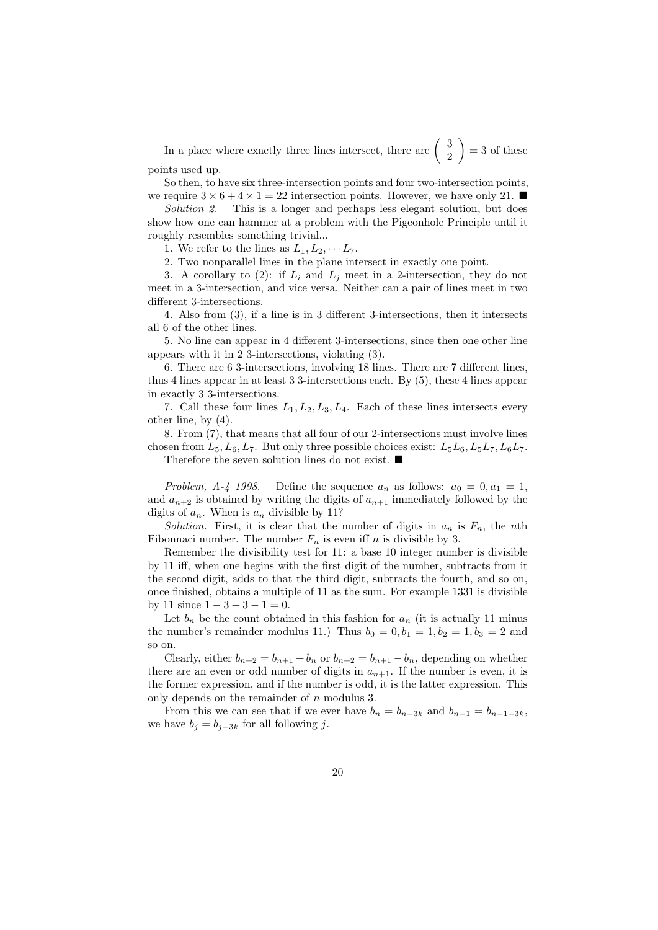In a place where exactly three lines intersect, there are  $\begin{pmatrix} 3 \\ 2 \end{pmatrix}$ 2  $= 3$  of these points used up.

So then, to have six three-intersection points and four two-intersection points, we require  $3 \times 6 + 4 \times 1 = 22$  intersection points. However, we have only 21.

Solution 2. This is a longer and perhaps less elegant solution, but does show how one can hammer at a problem with the Pigeonhole Principle until it roughly resembles something trivial...

1. We refer to the lines as  $L_1, L_2, \cdots L_7$ .

2. Two nonparallel lines in the plane intersect in exactly one point.

3. A corollary to (2): if  $L_i$  and  $L_j$  meet in a 2-intersection, they do not meet in a 3-intersection, and vice versa. Neither can a pair of lines meet in two different 3-intersections.

4. Also from (3), if a line is in 3 different 3-intersections, then it intersects all 6 of the other lines.

5. No line can appear in 4 different 3-intersections, since then one other line appears with it in 2 3-intersections, violating (3).

6. There are 6 3-intersections, involving 18 lines. There are 7 different lines, thus 4 lines appear in at least 3 3-intersections each. By (5), these 4 lines appear in exactly 3 3-intersections.

7. Call these four lines  $L_1, L_2, L_3, L_4$ . Each of these lines intersects every other line, by (4).

8. From (7), that means that all four of our 2-intersections must involve lines chosen from  $L_5, L_6, L_7$ . But only three possible choices exist:  $L_5L_6, L_5L_7, L_6L_7$ . Therefore the seven solution lines do not exist. ■

Problem, A-4 1998. Define the sequence  $a_n$  as follows:  $a_0 = 0, a_1 = 1,$ and  $a_{n+2}$  is obtained by writing the digits of  $a_{n+1}$  immediately followed by the digits of  $a_n$ . When is  $a_n$  divisible by 11?

Solution. First, it is clear that the number of digits in  $a_n$  is  $F_n$ , the nth Fibonnaci number. The number  $F_n$  is even iff n is divisible by 3.

Remember the divisibility test for 11: a base 10 integer number is divisible by 11 iff, when one begins with the first digit of the number, subtracts from it the second digit, adds to that the third digit, subtracts the fourth, and so on, once finished, obtains a multiple of 11 as the sum. For example 1331 is divisible by 11 since  $1 - 3 + 3 - 1 = 0$ .

Let  $b_n$  be the count obtained in this fashion for  $a_n$  (it is actually 11 minus the number's remainder modulus 11.) Thus  $b_0 = 0, b_1 = 1, b_2 = 1, b_3 = 2$  and so on.

Clearly, either  $b_{n+2} = b_{n+1} + b_n$  or  $b_{n+2} = b_{n+1} - b_n$ , depending on whether there are an even or odd number of digits in  $a_{n+1}$ . If the number is even, it is the former expression, and if the number is odd, it is the latter expression. This only depends on the remainder of n modulus 3.

From this we can see that if we ever have  $b_n = b_{n-3k}$  and  $b_{n-1} = b_{n-1-3k}$ , we have  $b_j = b_{j-3k}$  for all following j.